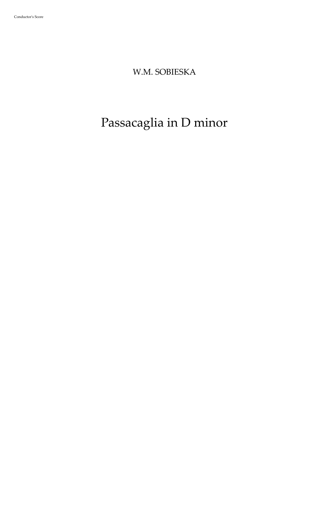## Passacaglia in D minor

W.M. SOBIESKA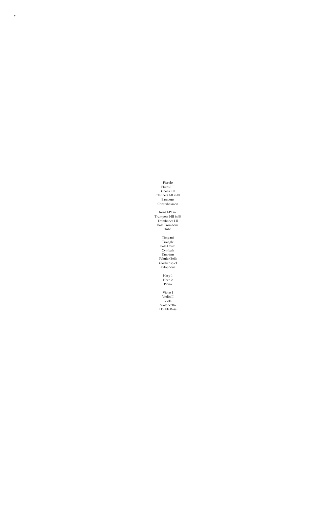Piccolo Flutes I-II Oboes I-II Clarinets I-II in  $\rm B\flat$ Bassoons Contrabassoon

Horns I-IV in F Trumpets I-III in  $\rm B\flat$ Trombones I-II Bass Trombone Tuba

> Timpani Triangle Bass Drum Cymbals Tam-tam Tubular Bells Glockenspiel Xylophone

> > Harp 1 Harp 2 Piano

Violin I Violin II Viola Violoncello Double Bass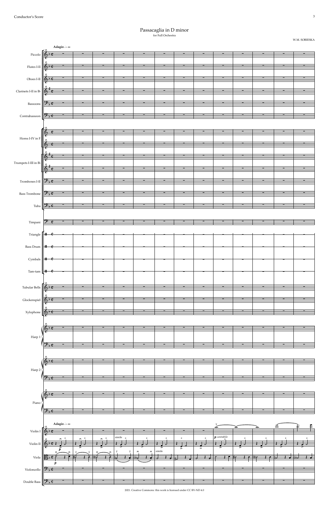2021. Creative Commons: this work is licensed under CC BY-ND 4.0

## Passacaglia in D minor for Full Orchestra

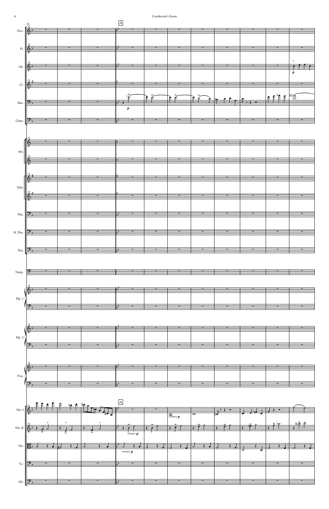

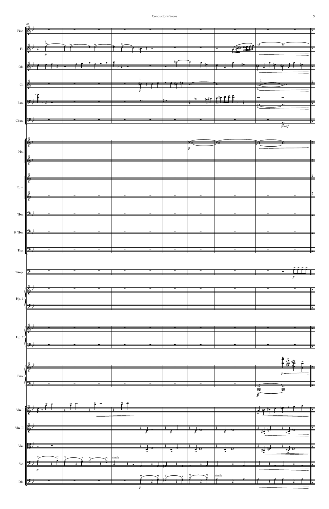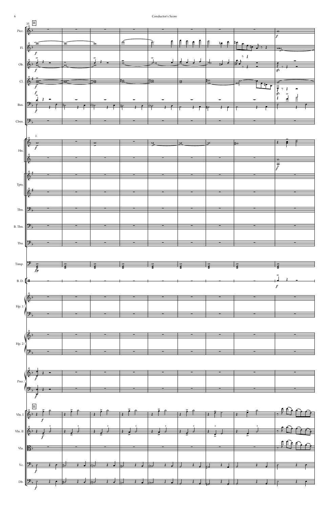



 $\sqrt{6}$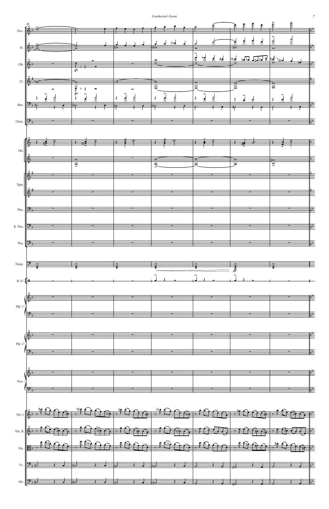Conductor's Score



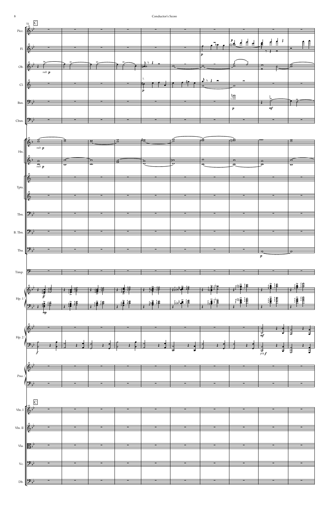

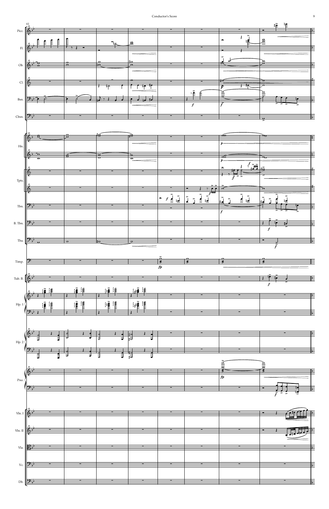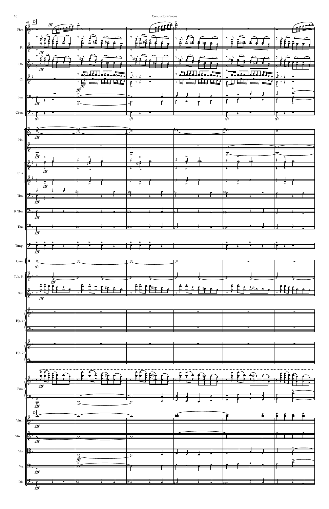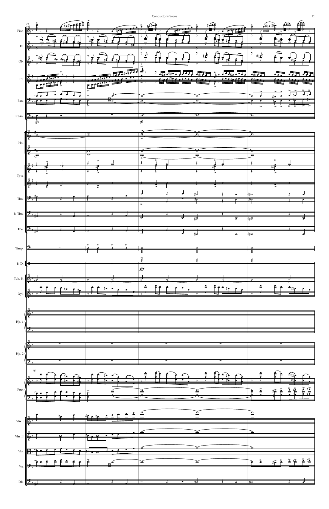



 $11\,$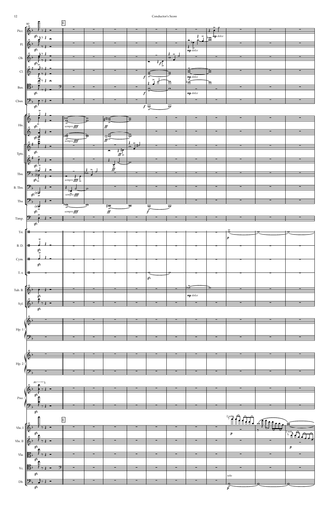

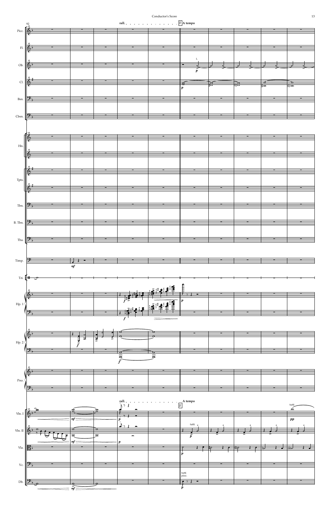## Conductor's Score

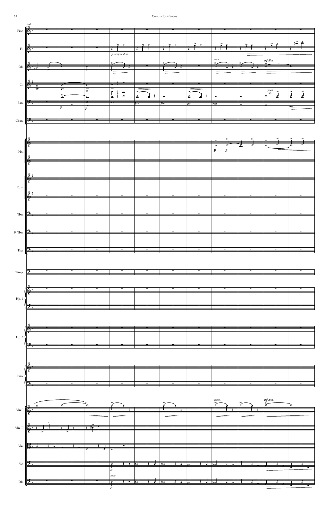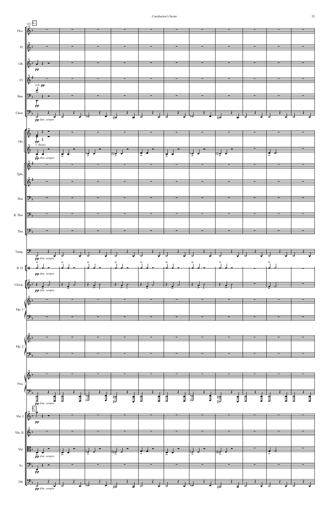